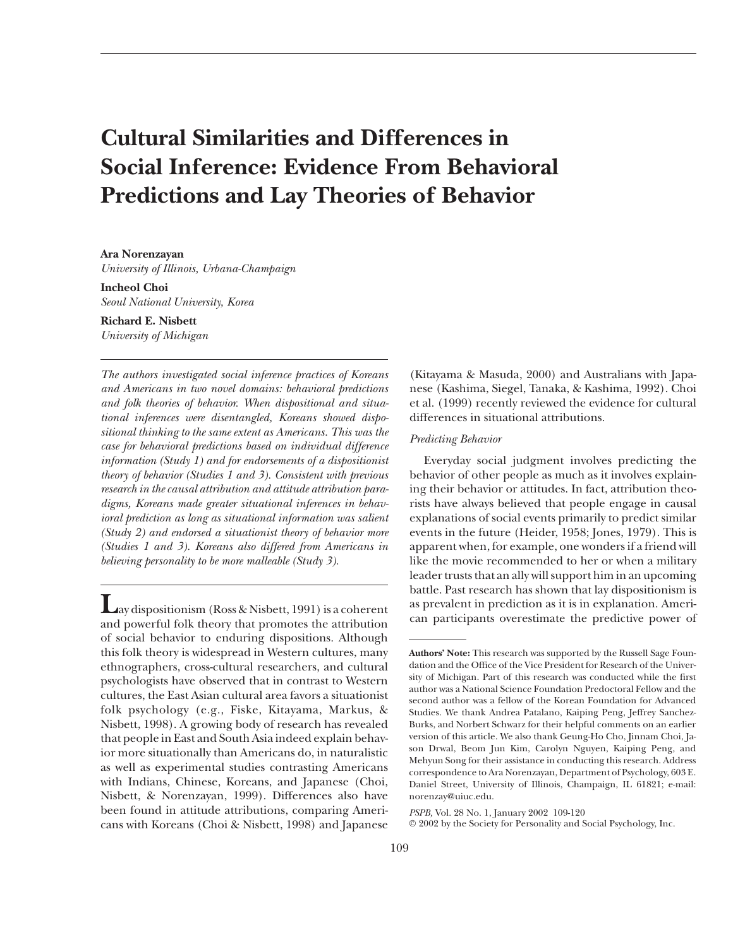# **Cultural Similarities and Differences in Social Inference: Evidence From Behavioral Predictions and Lay Theories of Behavior**

#### **Ara Norenzayan**

*University of Illinois, Urbana-Champaign*

## **Incheol Choi**

Norenzayan et al. / CULTURAL SIMILARITIES AND DIFFERENCES

*Seoul National University, Korea*

# **Richard E. Nisbett**

*University of Michigan*

*The authors investigated social inference practices of Koreans and Americans in two novel domains: behavioral predictions and folk theories of behavior. When dispositional and situational inferences were disentangled, Koreans showed dispositional thinking to the same extent as Americans. This was the case for behavioral predictions based on individual difference information (Study 1) and for endorsements of a dispositionist theory of behavior (Studies 1 and 3). Consistent with previous research in the causal attribution and attitude attribution paradigms, Koreans made greater situational inferences in behavioral prediction as long as situational information was salient (Study 2) and endorsed a situationist theory of behavior more (Studies 1 and 3). Koreans also differed from Americans in believing personality to be more malleable (Study 3).*

**L**ay dispositionism (Ross & Nisbett, 1991) is a coherent and powerful folk theory that promotes the attribution of social behavior to enduring dispositions. Although this folk theory is widespread in Western cultures, many ethnographers, cross-cultural researchers, and cultural psychologists have observed that in contrast to Western cultures, the East Asian cultural area favors a situationist folk psychology (e.g., Fiske, Kitayama, Markus, & Nisbett, 1998). A growing body of research has revealed that people in East and South Asia indeed explain behavior more situationally than Americans do, in naturalistic as well as experimental studies contrasting Americans with Indians, Chinese, Koreans, and Japanese (Choi, Nisbett, & Norenzayan, 1999). Differences also have been found in attitude attributions, comparing Americans with Koreans (Choi & Nisbett, 1998) and Japanese

(Kitayama & Masuda, 2000) and Australians with Japanese (Kashima, Siegel, Tanaka, & Kashima, 1992). Choi et al. (1999) recently reviewed the evidence for cultural differences in situational attributions.

# *Predicting Behavior*

Everyday social judgment involves predicting the behavior of other people as much as it involves explaining their behavior or attitudes. In fact, attribution theorists have always believed that people engage in causal explanations of social events primarily to predict similar events in the future (Heider, 1958; Jones, 1979). This is apparent when, for example, one wonders if a friend will like the movie recommended to her or when a military leader trusts that an ally will support him in an upcoming battle. Past research has shown that lay dispositionism is as prevalent in prediction as it is in explanation. American participants overestimate the predictive power of

*PSPB,* Vol. 28 No. 1, January 2002 109-120

© 2002 by the Society for Personality and Social Psychology, Inc.

**Authors' Note:** This research was supported by the Russell Sage Foundation and the Office of the Vice President for Research of the University of Michigan. Part of this research was conducted while the first author was a National Science Foundation Predoctoral Fellow and the second author was a fellow of the Korean Foundation for Advanced Studies. We thank Andrea Patalano, Kaiping Peng, Jeffrey Sanchez-Burks, and Norbert Schwarz for their helpful comments on an earlier version of this article. We also thank Geung-Ho Cho, Jinnam Choi, Jason Drwal, Beom Jun Kim, Carolyn Nguyen, Kaiping Peng, and Mehyun Song for their assistance in conducting this research. Address correspondence to Ara Norenzayan, Department of Psychology, 603 E. Daniel Street, University of Illinois, Champaign, IL 61821; e-mail: norenzay@uiuc.edu.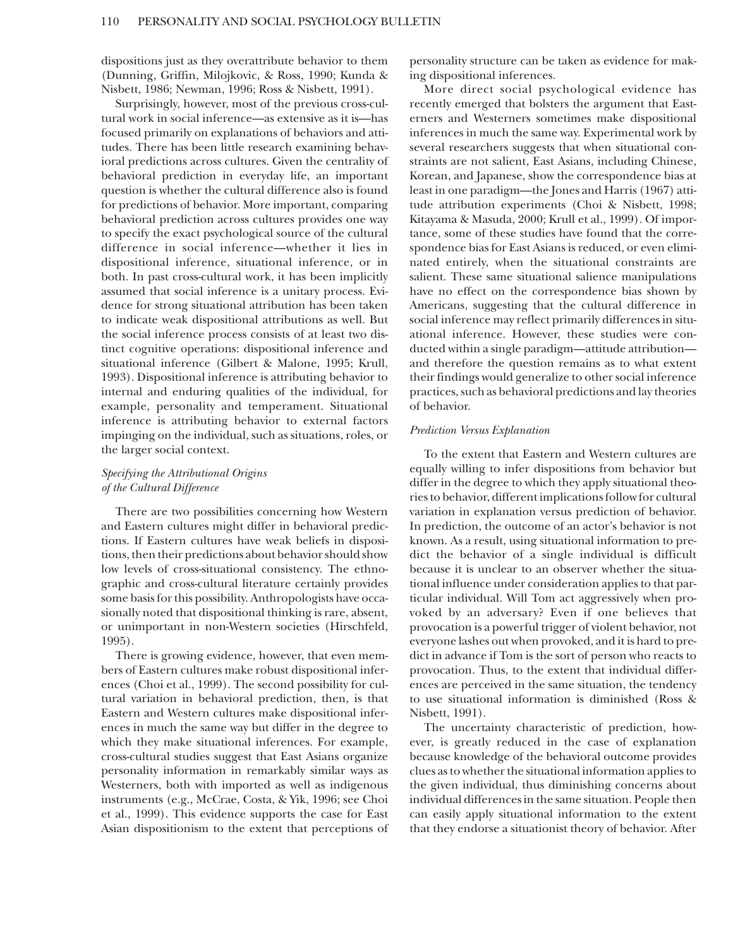dispositions just as they overattribute behavior to them (Dunning, Griffin, Milojkovic, & Ross, 1990; Kunda & Nisbett, 1986; Newman, 1996; Ross & Nisbett, 1991).

Surprisingly, however, most of the previous cross-cultural work in social inference—as extensive as it is—has focused primarily on explanations of behaviors and attitudes. There has been little research examining behavioral predictions across cultures. Given the centrality of behavioral prediction in everyday life, an important question is whether the cultural difference also is found for predictions of behavior. More important, comparing behavioral prediction across cultures provides one way to specify the exact psychological source of the cultural difference in social inference—whether it lies in dispositional inference, situational inference, or in both. In past cross-cultural work, it has been implicitly assumed that social inference is a unitary process. Evidence for strong situational attribution has been taken to indicate weak dispositional attributions as well. But the social inference process consists of at least two distinct cognitive operations: dispositional inference and situational inference (Gilbert & Malone, 1995; Krull, 1993). Dispositional inference is attributing behavior to internal and enduring qualities of the individual, for example, personality and temperament. Situational inference is attributing behavior to external factors impinging on the individual, such as situations, roles, or the larger social context.

# *Specifying the Attributional Origins of the Cultural Difference*

There are two possibilities concerning how Western and Eastern cultures might differ in behavioral predictions. If Eastern cultures have weak beliefs in dispositions, then their predictions about behavior should show low levels of cross-situational consistency. The ethnographic and cross-cultural literature certainly provides some basis for this possibility. Anthropologists have occasionally noted that dispositional thinking is rare, absent, or unimportant in non-Western societies (Hirschfeld, 1995).

There is growing evidence, however, that even members of Eastern cultures make robust dispositional inferences (Choi et al., 1999). The second possibility for cultural variation in behavioral prediction, then, is that Eastern and Western cultures make dispositional inferences in much the same way but differ in the degree to which they make situational inferences. For example, cross-cultural studies suggest that East Asians organize personality information in remarkably similar ways as Westerners, both with imported as well as indigenous instruments (e.g., McCrae, Costa, & Yik, 1996; see Choi et al., 1999). This evidence supports the case for East Asian dispositionism to the extent that perceptions of personality structure can be taken as evidence for making dispositional inferences.

More direct social psychological evidence has recently emerged that bolsters the argument that Easterners and Westerners sometimes make dispositional inferences in much the same way. Experimental work by several researchers suggests that when situational constraints are not salient, East Asians, including Chinese, Korean, and Japanese, show the correspondence bias at least in one paradigm—the Jones and Harris (1967) attitude attribution experiments (Choi & Nisbett, 1998; Kitayama & Masuda, 2000; Krull et al., 1999). Of importance, some of these studies have found that the correspondence bias for East Asians is reduced, or even eliminated entirely, when the situational constraints are salient. These same situational salience manipulations have no effect on the correspondence bias shown by Americans, suggesting that the cultural difference in social inference may reflect primarily differences in situational inference. However, these studies were conducted within a single paradigm—attitude attribution and therefore the question remains as to what extent their findings would generalize to other social inference practices, such as behavioral predictions and lay theories of behavior.

## *Prediction Versus Explanation*

To the extent that Eastern and Western cultures are equally willing to infer dispositions from behavior but differ in the degree to which they apply situational theories to behavior, different implications follow for cultural variation in explanation versus prediction of behavior. In prediction, the outcome of an actor's behavior is not known. As a result, using situational information to predict the behavior of a single individual is difficult because it is unclear to an observer whether the situational influence under consideration applies to that particular individual. Will Tom act aggressively when provoked by an adversary? Even if one believes that provocation is a powerful trigger of violent behavior, not everyone lashes out when provoked, and it is hard to predict in advance if Tom is the sort of person who reacts to provocation. Thus, to the extent that individual differences are perceived in the same situation, the tendency to use situational information is diminished (Ross & Nisbett, 1991).

The uncertainty characteristic of prediction, however, is greatly reduced in the case of explanation because knowledge of the behavioral outcome provides clues as to whether the situational information applies to the given individual, thus diminishing concerns about individual differences in the same situation. People then can easily apply situational information to the extent that they endorse a situationist theory of behavior. After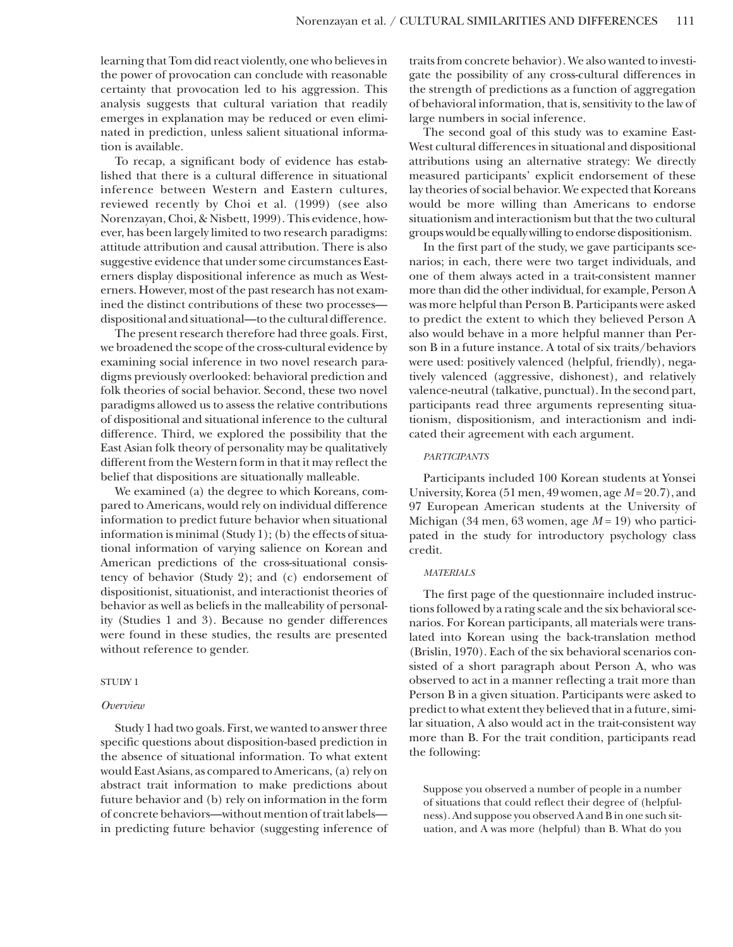learning that Tom did react violently, one who believes in the power of provocation can conclude with reasonable certainty that provocation led to his aggression. This analysis suggests that cultural variation that readily emerges in explanation may be reduced or even eliminated in prediction, unless salient situational information is available.

To recap, a significant body of evidence has established that there is a cultural difference in situational inference between Western and Eastern cultures, reviewed recently by Choi et al. (1999) (see also Norenzayan, Choi, & Nisbett, 1999). This evidence, however, has been largely limited to two research paradigms: attitude attribution and causal attribution. There is also suggestive evidence that under some circumstances Easterners display dispositional inference as much as Westerners. However, most of the past research has not examined the distinct contributions of these two processes dispositional and situational—to the cultural difference.

The present research therefore had three goals. First, we broadened the scope of the cross-cultural evidence by examining social inference in two novel research paradigms previously overlooked: behavioral prediction and folk theories of social behavior. Second, these two novel paradigms allowed us to assess the relative contributions of dispositional and situational inference to the cultural difference. Third, we explored the possibility that the East Asian folk theory of personality may be qualitatively different from the Western form in that it may reflect the belief that dispositions are situationally malleable.

We examined (a) the degree to which Koreans, compared to Americans, would rely on individual difference information to predict future behavior when situational information is minimal (Study 1); (b) the effects of situational information of varying salience on Korean and American predictions of the cross-situational consistency of behavior (Study 2); and (c) endorsement of dispositionist, situationist, and interactionist theories of behavior as well as beliefs in the malleability of personality (Studies 1 and 3). Because no gender differences were found in these studies, the results are presented without reference to gender.

## STUDY 1

## *Overview*

Study 1 had two goals. First, we wanted to answer three specific questions about disposition-based prediction in the absence of situational information. To what extent would East Asians, as compared to Americans, (a) rely on abstract trait information to make predictions about future behavior and (b) rely on information in the form of concrete behaviors—without mention of trait labels in predicting future behavior (suggesting inference of traits from concrete behavior). We also wanted to investigate the possibility of any cross-cultural differences in the strength of predictions as a function of aggregation of behavioral information, that is, sensitivity to the law of large numbers in social inference.

The second goal of this study was to examine East-West cultural differences in situational and dispositional attributions using an alternative strategy: We directly measured participants' explicit endorsement of these lay theories of social behavior. We expected that Koreans would be more willing than Americans to endorse situationism and interactionism but that the two cultural groups would be equally willing to endorse dispositionism.

In the first part of the study, we gave participants scenarios; in each, there were two target individuals, and one of them always acted in a trait-consistent manner more than did the other individual, for example, Person A was more helpful than Person B. Participants were asked to predict the extent to which they believed Person A also would behave in a more helpful manner than Person B in a future instance. A total of six traits/behaviors were used: positively valenced (helpful, friendly), negatively valenced (aggressive, dishonest), and relatively valence-neutral (talkative, punctual). In the second part, participants read three arguments representing situationism, dispositionism, and interactionism and indicated their agreement with each argument.

## *PARTICIPANTS*

Participants included 100 Korean students at Yonsei University, Korea (51 men, 49 women, age *M* = 20.7), and 97 European American students at the University of Michigan (34 men, 63 women, age *M* = 19) who participated in the study for introductory psychology class credit.

## *MATERIALS*

The first page of the questionnaire included instructions followed by a rating scale and the six behavioral scenarios. For Korean participants, all materials were translated into Korean using the back-translation method (Brislin, 1970). Each of the six behavioral scenarios consisted of a short paragraph about Person A, who was observed to act in a manner reflecting a trait more than Person B in a given situation. Participants were asked to predict to what extent they believed that in a future, similar situation, A also would act in the trait-consistent way more than B. For the trait condition, participants read the following:

Suppose you observed a number of people in a number of situations that could reflect their degree of (helpfulness). And suppose you observed A and B in one such situation, and A was more (helpful) than B. What do you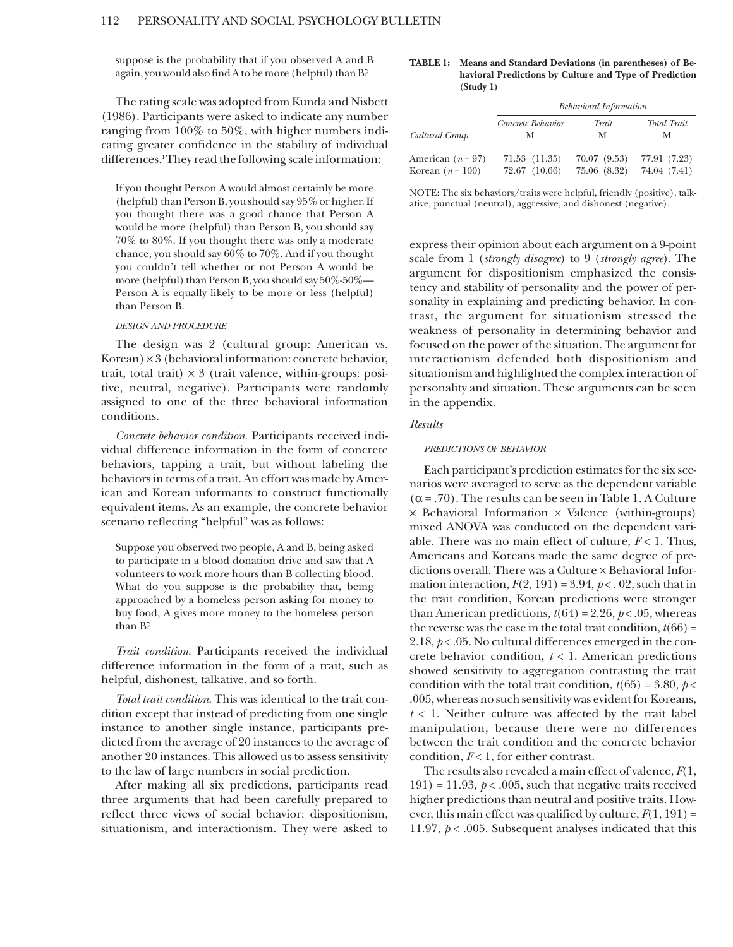suppose is the probability that if you observed A and B again, you would also find A to be more (helpful) than B?

The rating scale was adopted from Kunda and Nisbett (1986). Participants were asked to indicate any number ranging from 100% to 50%, with higher numbers indicating greater confidence in the stability of individual differences.1 They read the following scale information:

If you thought Person A would almost certainly be more (helpful) than Person B, you should say 95% or higher. If you thought there was a good chance that Person A would be more (helpful) than Person B, you should say 70% to 80%. If you thought there was only a moderate chance, you should say 60% to 70%. And if you thought you couldn't tell whether or not Person A would be more (helpful) than Person B, you should say 50%-50%— Person A is equally likely to be more or less (helpful) than Person B.1

## *DESIGN AND PROCEDURE*

The design was 2 (cultural group: American vs.  $Korean$ )  $\times$  3 (behavioral information: concrete behavior, trait, total trait)  $\times$  3 (trait valence, within-groups: positive, neutral, negative). Participants were randomly assigned to one of the three behavioral information conditions.

*Concrete behavior condition*. Participants received individual difference information in the form of concrete behaviors, tapping a trait, but without labeling the behaviors in terms of a trait. An effort was made by American and Korean informants to construct functionally equivalent items. As an example, the concrete behavior scenario reflecting "helpful" was as follows:

Suppose you observed two people, A and B, being asked to participate in a blood donation drive and saw that A volunteers to work more hours than B collecting blood. What do you suppose is the probability that, being approached by a homeless person asking for money to buy food, A gives more money to the homeless person than B?

*Trait condition*. Participants received the individual difference information in the form of a trait, such as helpful, dishonest, talkative, and so forth.

*Total trait condition*. This was identical to the trait condition except that instead of predicting from one single instance to another single instance, participants predicted from the average of 20 instances to the average of another 20 instances. This allowed us to assess sensitivity to the law of large numbers in social prediction.

After making all six predictions, participants read three arguments that had been carefully prepared to reflect three views of social behavior: dispositionism, situationism, and interactionism. They were asked to

**TABLE 1: Means and Standard Deviations (in parentheses) of Behavioral Predictions byCulture and Type of Prediction (Study 1)**

|                       | <b>Behavioral Information</b> |              |                    |  |
|-----------------------|-------------------------------|--------------|--------------------|--|
| Cultural Group        | Concrete Behavior             | Trait        | <b>Total Trait</b> |  |
|                       | М                             | M            | М                  |  |
| American ( $n = 97$ ) | $71.53$ $(11.35)$             | 70.07 (9.53) | 77.91 (7.23)       |  |
| Korean $(n=100)$      | 72.67 (10.66)                 | 75.06 (8.32) | 74.04 (7.41)       |  |

NOTE: The six behaviors/traits were helpful, friendly (positive), talkative, punctual (neutral), aggressive, and dishonest (negative).

express their opinion about each argument on a 9-point scale from 1 (*strongly disagree*) to 9 (*strongly agree*). The argument for dispositionism emphasized the consistency and stability of personality and the power of personality in explaining and predicting behavior. In contrast, the argument for situationism stressed the weakness of personality in determining behavior and focused on the power of the situation. The argument for interactionism defended both dispositionism and situationism and highlighted the complex interaction of personality and situation. These arguments can be seen in the appendix.

## *Results*

#### *PREDICTIONS OF BEHAVIOR*

Each participant's prediction estimates for the six scenarios were averaged to serve as the dependent variable  $(\alpha = .70)$ . The results can be seen in Table 1. A Culture  $\times$  Behavioral Information  $\times$  Valence (within-groups) mixed ANOVA was conducted on the dependent variable. There was no main effect of culture,  $F < 1$ . Thus, Americans and Koreans made the same degree of predictions overall. There was a Culture × Behavioral Information interaction,  $F(2, 191) = 3.94$ ,  $p < 0.02$ , such that in the trait condition, Korean predictions were stronger than American predictions,  $t(64) = 2.26$ ,  $p < .05$ , whereas the reverse was the case in the total trait condition,  $t(66)$  = 2.18,  $p < 0.05$ . No cultural differences emerged in the concrete behavior condition, *t* < 1. American predictions showed sensitivity to aggregation contrasting the trait condition with the total trait condition,  $t(65) = 3.80, p <$ .005, whereas no such sensitivity was evident for Koreans, *t* < 1. Neither culture was affected by the trait label manipulation, because there were no differences between the trait condition and the concrete behavior condition, *F* < 1, for either contrast.

The results also revealed a main effect of valence, *F*(1, 191) = 11.93,  $p < .005$ , such that negative traits received higher predictions than neutral and positive traits. However, this main effect was qualified by culture,  $F(1, 191) =$ 11.97,  $p < .005$ . Subsequent analyses indicated that this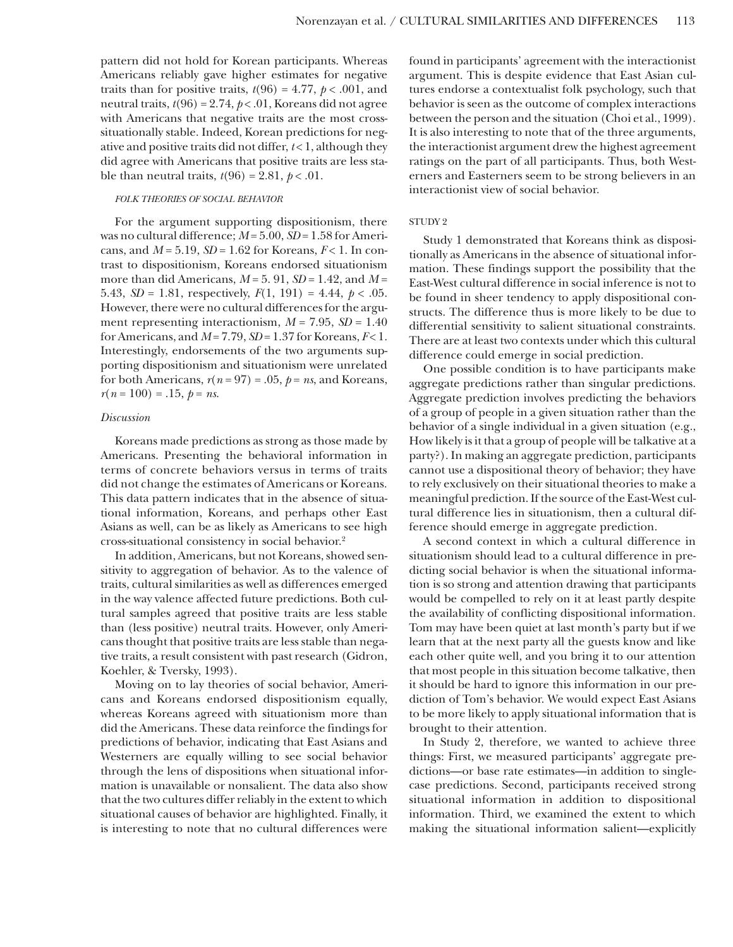pattern did not hold for Korean participants. Whereas Americans reliably gave higher estimates for negative traits than for positive traits,  $t(96) = 4.77$ ,  $p < .001$ , and neutral traits,  $t(96) = 2.74$ ,  $p < .01$ , Koreans did not agree with Americans that negative traits are the most crosssituationally stable. Indeed, Korean predictions for negative and positive traits did not differ,  $t < 1$ , although they did agree with Americans that positive traits are less stable than neutral traits,  $t(96) = 2.81, p < .01$ .

## *FOLK THEORIES OF SOCIAL BEHAVIOR*

For the argument supporting dispositionism, there was no cultural difference; *M* = 5.00, *SD* = 1.58 for Americans, and  $M = 5.19$ ,  $SD = 1.62$  for Koreans,  $F < 1$ . In contrast to dispositionism, Koreans endorsed situationism more than did Americans,  $M = 5$ . 91,  $SD = 1.42$ , and  $M =$ 5.43,  $SD = 1.81$ , respectively,  $F(1, 191) = 4.44$ ,  $p < .05$ . However, there were no cultural differences for the argument representing interactionism, *M* = 7.95, *SD* = 1.40 for Americans, and  $M = 7.79$ ,  $SD = 1.37$  for Koreans,  $F < 1$ . Interestingly, endorsements of the two arguments supporting dispositionism and situationism were unrelated for both Americans,  $r(n = 97) = .05$ ,  $p = ns$ , and Koreans,  $r(n = 100) = .15, p = ns.$ 

## *Discussion*

Koreans made predictions as strong as those made by Americans. Presenting the behavioral information in terms of concrete behaviors versus in terms of traits did not change the estimates of Americans or Koreans. This data pattern indicates that in the absence of situational information, Koreans, and perhaps other East Asians as well, can be as likely as Americans to see high cross-situational consistency in social behavior.2

In addition, Americans, but not Koreans, showed sensitivity to aggregation of behavior. As to the valence of traits, cultural similarities as well as differences emerged in the way valence affected future predictions. Both cultural samples agreed that positive traits are less stable than (less positive) neutral traits. However, only Americans thought that positive traits are less stable than negative traits, a result consistent with past research (Gidron, Koehler, & Tversky, 1993).

Moving on to lay theories of social behavior, Americans and Koreans endorsed dispositionism equally, whereas Koreans agreed with situationism more than did the Americans. These data reinforce the findings for predictions of behavior, indicating that East Asians and Westerners are equally willing to see social behavior through the lens of dispositions when situational information is unavailable or nonsalient. The data also show that the two cultures differ reliably in the extent to which situational causes of behavior are highlighted. Finally, it is interesting to note that no cultural differences were found in participants' agreement with the interactionist argument. This is despite evidence that East Asian cultures endorse a contextualist folk psychology, such that behavior is seen as the outcome of complex interactions between the person and the situation (Choi et al., 1999). It is also interesting to note that of the three arguments, the interactionist argument drew the highest agreement ratings on the part of all participants. Thus, both Westerners and Easterners seem to be strong believers in an interactionist view of social behavior.

# STUDY 2

Study 1 demonstrated that Koreans think as dispositionally as Americans in the absence of situational information. These findings support the possibility that the East-West cultural difference in social inference is not to be found in sheer tendency to apply dispositional constructs. The difference thus is more likely to be due to differential sensitivity to salient situational constraints. There are at least two contexts under which this cultural difference could emerge in social prediction.

One possible condition is to have participants make aggregate predictions rather than singular predictions. Aggregate prediction involves predicting the behaviors of a group of people in a given situation rather than the behavior of a single individual in a given situation (e.g., How likely is it that a group of people will be talkative at a party?). In making an aggregate prediction, participants cannot use a dispositional theory of behavior; they have to rely exclusively on their situational theories to make a meaningful prediction. If the source of the East-West cultural difference lies in situationism, then a cultural difference should emerge in aggregate prediction.

A second context in which a cultural difference in situationism should lead to a cultural difference in predicting social behavior is when the situational information is so strong and attention drawing that participants would be compelled to rely on it at least partly despite the availability of conflicting dispositional information. Tom may have been quiet at last month's party but if we learn that at the next party all the guests know and like each other quite well, and you bring it to our attention that most people in this situation become talkative, then it should be hard to ignore this information in our prediction of Tom's behavior. We would expect East Asians to be more likely to apply situational information that is brought to their attention.

In Study 2, therefore, we wanted to achieve three things: First, we measured participants' aggregate predictions—or base rate estimates—in addition to singlecase predictions. Second, participants received strong situational information in addition to dispositional information. Third, we examined the extent to which making the situational information salient—explicitly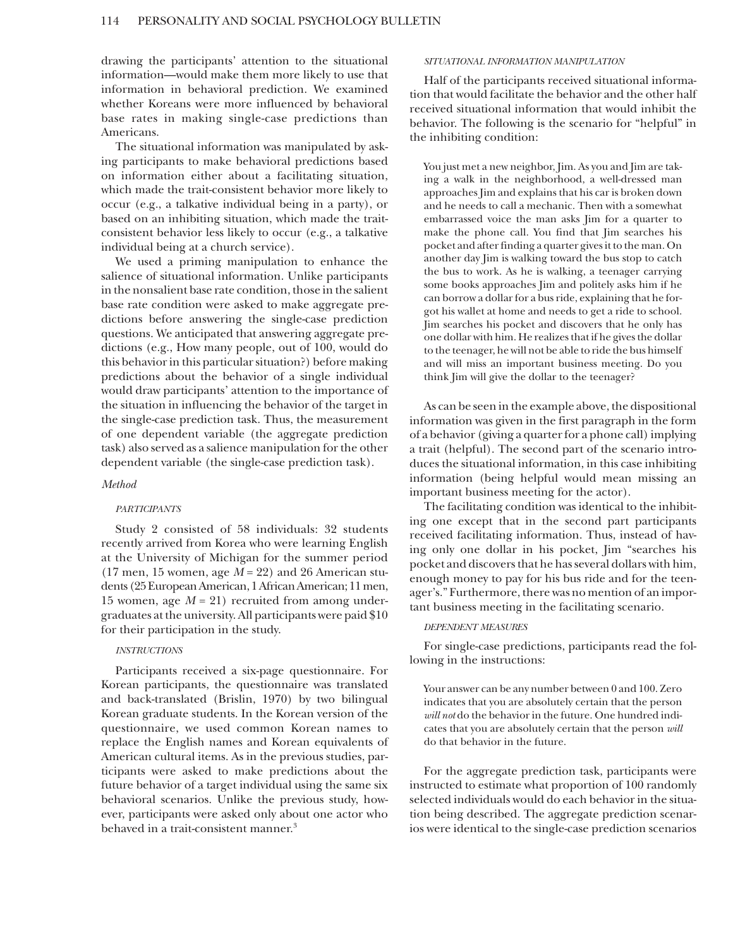drawing the participants' attention to the situational information—would make them more likely to use that information in behavioral prediction. We examined whether Koreans were more influenced by behavioral base rates in making single-case predictions than Americans.

The situational information was manipulated by asking participants to make behavioral predictions based on information either about a facilitating situation, which made the trait-consistent behavior more likely to occur (e.g., a talkative individual being in a party), or based on an inhibiting situation, which made the traitconsistent behavior less likely to occur (e.g., a talkative individual being at a church service).

We used a priming manipulation to enhance the salience of situational information. Unlike participants in the nonsalient base rate condition, those in the salient base rate condition were asked to make aggregate predictions before answering the single-case prediction questions. We anticipated that answering aggregate predictions (e.g., How many people, out of 100, would do this behavior in this particular situation?) before making predictions about the behavior of a single individual would draw participants' attention to the importance of the situation in influencing the behavior of the target in the single-case prediction task. Thus, the measurement of one dependent variable (the aggregate prediction task) also served as a salience manipulation for the other dependent variable (the single-case prediction task).

## *Method*

## *PARTICIPANTS*

Study 2 consisted of 58 individuals: 32 students recently arrived from Korea who were learning English at the University of Michigan for the summer period (17 men, 15 women, age *M* = 22) and 26 American students (25 European American, 1 African American; 11 men, 15 women, age *M* = 21) recruited from among undergraduates at the university. All participants were paid \$10 for their participation in the study.

## *INSTRUCTIONS*

Participants received a six-page questionnaire. For Korean participants, the questionnaire was translated and back-translated (Brislin, 1970) by two bilingual Korean graduate students. In the Korean version of the questionnaire, we used common Korean names to replace the English names and Korean equivalents of American cultural items. As in the previous studies, participants were asked to make predictions about the future behavior of a target individual using the same six behavioral scenarios. Unlike the previous study, however, participants were asked only about one actor who behaved in a trait-consistent manner.<sup>3</sup>

## *SITUATIONAL INFORMATION MANIPULATION*

Half of the participants received situational information that would facilitate the behavior and the other half received situational information that would inhibit the behavior. The following is the scenario for "helpful" in the inhibiting condition:

You just met a new neighbor, Jim. As you and Jim are taking a walk in the neighborhood, a well-dressed man approaches Jim and explains that his car is broken down and he needs to call a mechanic. Then with a somewhat embarrassed voice the man asks Jim for a quarter to make the phone call. You find that Jim searches his pocket and after finding a quarter gives it to the man. On another day Jim is walking toward the bus stop to catch the bus to work. As he is walking, a teenager carrying some books approaches Jim and politely asks him if he can borrow a dollar for a bus ride, explaining that he forgot his wallet at home and needs to get a ride to school. Jim searches his pocket and discovers that he only has one dollar with him. He realizes that if he gives the dollar to the teenager, he will not be able to ride the bus himself and will miss an important business meeting. Do you think Jim will give the dollar to the teenager?

As can be seen in the example above, the dispositional information was given in the first paragraph in the form of a behavior (giving a quarter for a phone call) implying a trait (helpful). The second part of the scenario introduces the situational information, in this case inhibiting information (being helpful would mean missing an important business meeting for the actor).

The facilitating condition was identical to the inhibiting one except that in the second part participants received facilitating information. Thus, instead of having only one dollar in his pocket, Jim "searches his pocket and discovers that he has several dollars with him, enough money to pay for his bus ride and for the teenager's." Furthermore, there was no mention of an important business meeting in the facilitating scenario.

#### *DEPENDENT MEASURES*

For single-case predictions, participants read the following in the instructions:

Your answer can be any number between 0 and 100. Zero indicates that you are absolutely certain that the person *will not* do the behavior in the future. One hundred indicates that you are absolutely certain that the person *will* do that behavior in the future.

For the aggregate prediction task, participants were instructed to estimate what proportion of 100 randomly selected individuals would do each behavior in the situation being described. The aggregate prediction scenarios were identical to the single-case prediction scenarios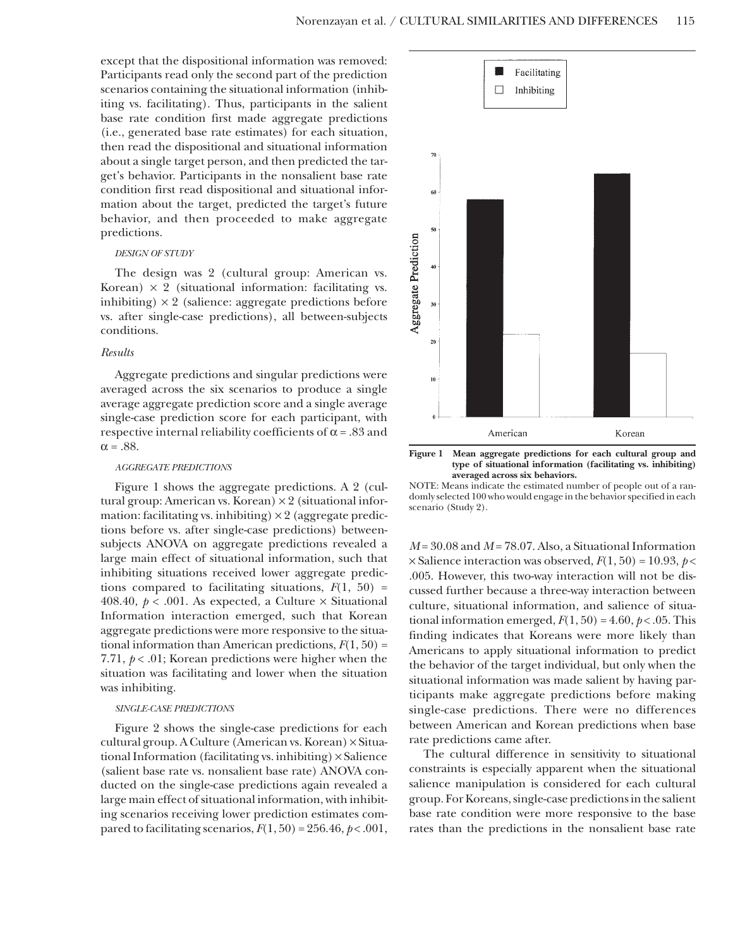except that the dispositional information was removed: Participants read only the second part of the prediction scenarios containing the situational information (inhibiting vs. facilitating). Thus, participants in the salient base rate condition first made aggregate predictions (i.e., generated base rate estimates) for each situation, then read the dispositional and situational information about a single target person, and then predicted the target's behavior. Participants in the nonsalient base rate condition first read dispositional and situational information about the target, predicted the target's future behavior, and then proceeded to make aggregate predictions.

#### *DESIGN OF STUDY*

The design was 2 (cultural group: American vs. Korean)  $\times$  2 (situational information: facilitating vs. inhibiting)  $\times$  2 (salience: aggregate predictions before vs. after single-case predictions), all between-subjects conditions.

## *Results*

Aggregate predictions and singular predictions were averaged across the six scenarios to produce a single average aggregate prediction score and a single average single-case prediction score for each participant, with respective internal reliability coefficients of  $\alpha$  = .83 and  $\alpha = .88$ .

## *AGGREGATE PREDICTIONS*

Figure 1 shows the aggregate predictions. A 2 (cultural group: American vs. Korean)  $\times$  2 (situational information: facilitating vs. inhibiting)  $\times$  2 (aggregate predictions before vs. after single-case predictions) betweensubjects ANOVA on aggregate predictions revealed a large main effect of situational information, such that inhibiting situations received lower aggregate predictions compared to facilitating situations,  $F(1, 50)$  = 408.40,  $p < .001$ . As expected, a Culture  $\times$  Situational Information interaction emerged, such that Korean aggregate predictions were more responsive to the situational information than American predictions,  $F(1, 50) =$ 7.71, *p* < .01; Korean predictions were higher when the situation was facilitating and lower when the situation was inhibiting.

## *SINGLE-CASE PREDICTIONS*

Figure 2 shows the single-case predictions for each cultural group. A Culture (American vs. Korean) × Situational Information (facilitating vs. inhibiting)  $\times$  Salience (salient base rate vs. nonsalient base rate) ANOVA conducted on the single-case predictions again revealed a large main effect of situational information, with inhibiting scenarios receiving lower prediction estimates compared to facilitating scenarios,  $F(1, 50) = 256.46$ ,  $p < .001$ ,



**Figure 1 Mean aggregate predictions for each cultural group and type of situational information (facilitating vs. inhibiting) averaged across six behaviors.**

#### NOTE: Means indicate the estimated number of people out of a randomly selected 100 who would engage in the behavior specified in each scenario (Study 2).

*M* = 30.08 and *M* = 78.07. Also, a Situational Information  $\times$  Salience interaction was observed,  $F(1, 50) = 10.93$ ,  $p \le$ .005. However, this two-way interaction will not be discussed further because a three-way interaction between culture, situational information, and salience of situational information emerged,  $F(1, 50) = 4.60$ ,  $p < .05$ . This finding indicates that Koreans were more likely than Americans to apply situational information to predict the behavior of the target individual, but only when the situational information was made salient by having participants make aggregate predictions before making single-case predictions. There were no differences between American and Korean predictions when base rate predictions came after.

The cultural difference in sensitivity to situational constraints is especially apparent when the situational salience manipulation is considered for each cultural group. For Koreans, single-case predictions in the salient base rate condition were more responsive to the base rates than the predictions in the nonsalient base rate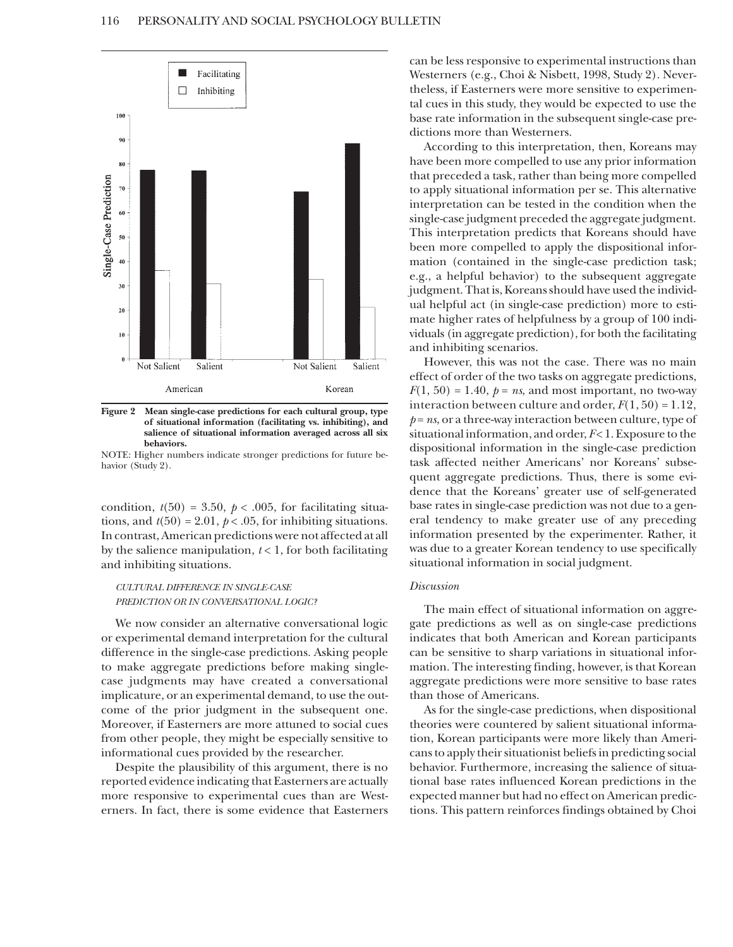

**Figure 2 Mean single-case predictions for each cultural group, type of situational information (facilitating vs. inhibiting), and salience of situational information averaged across all six behaviors.**

NOTE: Higher numbers indicate stronger predictions for future behavior (Study 2).

condition,  $t(50) = 3.50$ ,  $p < .005$ , for facilitating situations, and  $t(50) = 2.01$ ,  $p < .05$ , for inhibiting situations. In contrast, American predictions were not affected at all by the salience manipulation, *t* < 1, for both facilitating and inhibiting situations.

# *CULTURAL DIFFERENCE IN SINGLE-CASE PREDICTION OR IN CONVERSATIONAL LOGIC?*

We now consider an alternative conversational logic or experimental demand interpretation for the cultural difference in the single-case predictions. Asking people to make aggregate predictions before making singlecase judgments may have created a conversational implicature, or an experimental demand, to use the outcome of the prior judgment in the subsequent one. Moreover, if Easterners are more attuned to social cues from other people, they might be especially sensitive to informational cues provided by the researcher.

Despite the plausibility of this argument, there is no reported evidence indicating that Easterners are actually more responsive to experimental cues than are Westerners. In fact, there is some evidence that Easterners

can be less responsive to experimental instructions than Westerners (e.g., Choi & Nisbett, 1998, Study 2). Nevertheless, if Easterners were more sensitive to experimental cues in this study, they would be expected to use the base rate information in the subsequent single-case predictions more than Westerners.

According to this interpretation, then, Koreans may have been more compelled to use any prior information that preceded a task, rather than being more compelled to apply situational information per se. This alternative interpretation can be tested in the condition when the single-case judgment preceded the aggregate judgment. This interpretation predicts that Koreans should have been more compelled to apply the dispositional information (contained in the single-case prediction task; e.g., a helpful behavior) to the subsequent aggregate judgment. That is, Koreans should have used the individual helpful act (in single-case prediction) more to estimate higher rates of helpfulness by a group of 100 individuals (in aggregate prediction), for both the facilitating and inhibiting scenarios.

However, this was not the case. There was no main effect of order of the two tasks on aggregate predictions,  $F(1, 50) = 1.40$ ,  $p = ns$ , and most important, no two-way interaction between culture and order,  $F(1, 50) = 1.12$ , *p* = *ns*, or a three-way interaction between culture, type of situational information, and order, *F* < 1. Exposure to the dispositional information in the single-case prediction task affected neither Americans' nor Koreans' subsequent aggregate predictions. Thus, there is some evidence that the Koreans' greater use of self-generated base rates in single-case prediction was not due to a general tendency to make greater use of any preceding information presented by the experimenter. Rather, it was due to a greater Korean tendency to use specifically situational information in social judgment.

#### *Discussion*

The main effect of situational information on aggregate predictions as well as on single-case predictions indicates that both American and Korean participants can be sensitive to sharp variations in situational information. The interesting finding, however, is that Korean aggregate predictions were more sensitive to base rates than those of Americans.

As for the single-case predictions, when dispositional theories were countered by salient situational information, Korean participants were more likely than Americans to apply their situationist beliefs in predicting social behavior. Furthermore, increasing the salience of situational base rates influenced Korean predictions in the expected manner but had no effect on American predictions. This pattern reinforces findings obtained by Choi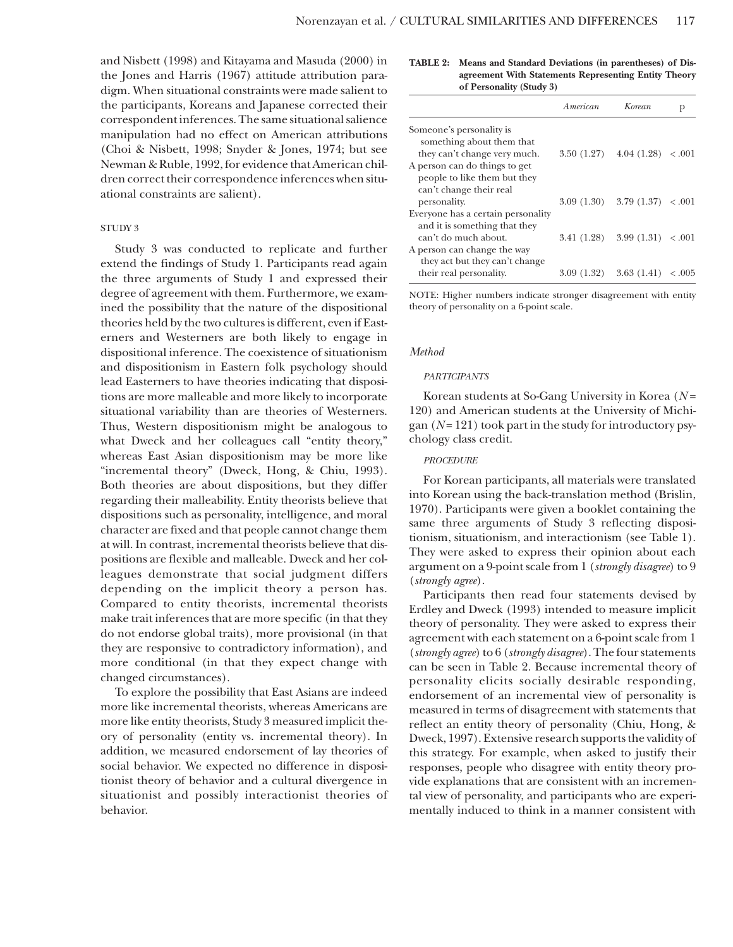and Nisbett (1998) and Kitayama and Masuda (2000) in the Jones and Harris (1967) attitude attribution paradigm. When situational constraints were made salient to the participants, Koreans and Japanese corrected their correspondent inferences. The same situational salience manipulation had no effect on American attributions (Choi & Nisbett, 1998; Snyder & Jones, 1974; but see Newman & Ruble, 1992, for evidence that American children correct their correspondence inferences when situational constraints are salient).

## STUDY 3

Study 3 was conducted to replicate and further extend the findings of Study 1. Participants read again the three arguments of Study 1 and expressed their degree of agreement with them. Furthermore, we examined the possibility that the nature of the dispositional theories held by the two cultures is different, even if Easterners and Westerners are both likely to engage in dispositional inference. The coexistence of situationism and dispositionism in Eastern folk psychology should lead Easterners to have theories indicating that dispositions are more malleable and more likely to incorporate situational variability than are theories of Westerners. Thus, Western dispositionism might be analogous to what Dweck and her colleagues call "entity theory," whereas East Asian dispositionism may be more like "incremental theory" (Dweck, Hong, & Chiu, 1993). Both theories are about dispositions, but they differ regarding their malleability. Entity theorists believe that dispositions such as personality, intelligence, and moral character are fixed and that people cannot change them at will. In contrast, incremental theorists believe that dispositions are flexible and malleable. Dweck and her colleagues demonstrate that social judgment differs depending on the implicit theory a person has. Compared to entity theorists, incremental theorists make trait inferences that are more specific (in that they do not endorse global traits), more provisional (in that they are responsive to contradictory information), and more conditional (in that they expect change with changed circumstances).

To explore the possibility that East Asians are indeed more like incremental theorists, whereas Americans are more like entity theorists, Study 3 measured implicit theory of personality (entity vs. incremental theory). In addition, we measured endorsement of lay theories of social behavior. We expected no difference in dispositionist theory of behavior and a cultural divergence in situationist and possibly interactionist theories of behavior.

**TABLE 2: Means and Standard Deviations (in parentheses) of Disagreement With Statements Representing EntityTheory of Personality (Study 3)**

|                                                               | American    | Korean            |         |
|---------------------------------------------------------------|-------------|-------------------|---------|
| Someone's personality is<br>something about them that         |             |                   |         |
| they can't change very much.<br>A person can do things to get | 3.50(1.27)  | 4.04(1.28)        | $-.001$ |
| people to like them but they                                  |             |                   |         |
| can't change their real                                       |             |                   |         |
| personality.<br>Everyone has a certain personality            | 3.09 (1.30) | 3.79(1.37)        | < 0.001 |
| and it is something that they                                 |             |                   |         |
| can't do much about.<br>A person can change the way           | 3.41 (1.28) | 3.99(1.31) < .001 |         |
| they act but they can't change                                |             |                   |         |
| their real personality.                                       | 3.09 (1.32) | 3.63(1.41)        | < .005  |

NOTE: Higher numbers indicate stronger disagreement with entity theory of personality on a 6-point scale.

#### *Method*

#### *PARTICIPANTS*

Korean students at So-Gang University in Korea (*N* = 120) and American students at the University of Michigan  $(N=121)$  took part in the study for introductory psychology class credit.

## *PROCEDURE*

For Korean participants, all materials were translated into Korean using the back-translation method (Brislin, 1970). Participants were given a booklet containing the same three arguments of Study 3 reflecting dispositionism, situationism, and interactionism (see Table 1). They were asked to express their opinion about each argument on a 9-point scale from 1 (*strongly disagree*) to 9 (*strongly agree*).

Participants then read four statements devised by Erdley and Dweck (1993) intended to measure implicit theory of personality. They were asked to express their agreement with each statement on a 6-point scale from 1 (*strongly agree*) to 6 (*strongly disagree*). The four statements can be seen in Table 2. Because incremental theory of personality elicits socially desirable responding, endorsement of an incremental view of personality is measured in terms of disagreement with statements that reflect an entity theory of personality (Chiu, Hong, & Dweck, 1997). Extensive research supports the validity of this strategy. For example, when asked to justify their responses, people who disagree with entity theory provide explanations that are consistent with an incremental view of personality, and participants who are experimentally induced to think in a manner consistent with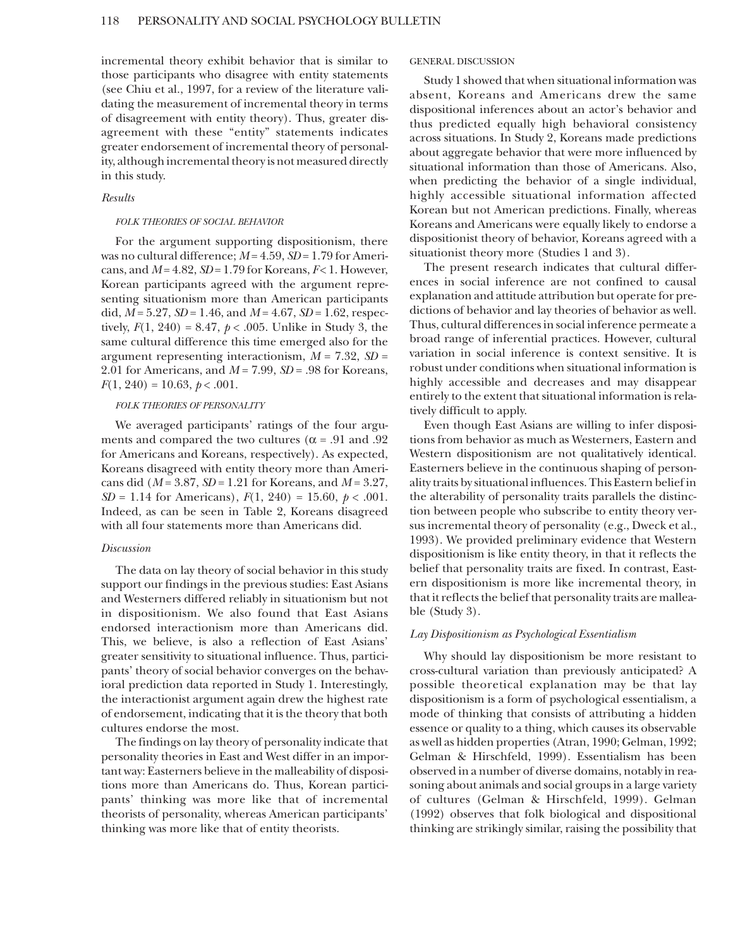incremental theory exhibit behavior that is similar to those participants who disagree with entity statements (see Chiu et al., 1997, for a review of the literature validating the measurement of incremental theory in terms of disagreement with entity theory). Thus, greater disagreement with these "entity" statements indicates greater endorsement of incremental theory of personality, although incremental theory is not measured directly in this study.

## *Results*

## *FOLK THEORIES OF SOCIAL BEHAVIOR*

For the argument supporting dispositionism, there was no cultural difference; *M* = 4.59, *SD* = 1.79 for Americans, and  $M = 4.82$ ,  $SD = 1.79$  for Koreans,  $F < 1$ . However, Korean participants agreed with the argument representing situationism more than American participants did,  $M = 5.27$ ,  $SD = 1.46$ , and  $M = 4.67$ ,  $SD = 1.62$ , respectively,  $F(1, 240) = 8.47$ ,  $p < .005$ . Unlike in Study 3, the same cultural difference this time emerged also for the argument representing interactionism, *M* = 7.32, *SD* = 2.01 for Americans, and *M* = 7.99, *SD* = .98 for Koreans,  $F(1, 240) = 10.63, p < .001$ .

## *FOLK THEORIES OF PERSONALITY*

We averaged participants' ratings of the four arguments and compared the two cultures ( $\alpha$  = .91 and .92 for Americans and Koreans, respectively). As expected, Koreans disagreed with entity theory more than Americans did (*M* = 3.87, *SD* = 1.21 for Koreans, and *M* = 3.27, *SD* = 1.14 for Americans), *F*(1, 240) = 15.60, *p* < .001. Indeed, as can be seen in Table 2, Koreans disagreed with all four statements more than Americans did.

## *Discussion*

The data on lay theory of social behavior in this study support our findings in the previous studies: East Asians and Westerners differed reliably in situationism but not in dispositionism. We also found that East Asians endorsed interactionism more than Americans did. This, we believe, is also a reflection of East Asians' greater sensitivity to situational influence. Thus, participants' theory of social behavior converges on the behavioral prediction data reported in Study 1. Interestingly, the interactionist argument again drew the highest rate of endorsement, indicating that it is the theory that both cultures endorse the most.

The findings on lay theory of personality indicate that personality theories in East and West differ in an important way: Easterners believe in the malleability of dispositions more than Americans do. Thus, Korean participants' thinking was more like that of incremental theorists of personality, whereas American participants' thinking was more like that of entity theorists.

## GENERAL DISCUSSION

Study 1 showed that when situational information was absent, Koreans and Americans drew the same dispositional inferences about an actor's behavior and thus predicted equally high behavioral consistency across situations. In Study 2, Koreans made predictions about aggregate behavior that were more influenced by situational information than those of Americans. Also, when predicting the behavior of a single individual, highly accessible situational information affected Korean but not American predictions. Finally, whereas Koreans and Americans were equally likely to endorse a dispositionist theory of behavior, Koreans agreed with a situationist theory more (Studies 1 and 3).

The present research indicates that cultural differences in social inference are not confined to causal explanation and attitude attribution but operate for predictions of behavior and lay theories of behavior as well. Thus, cultural differences in social inference permeate a broad range of inferential practices. However, cultural variation in social inference is context sensitive. It is robust under conditions when situational information is highly accessible and decreases and may disappear entirely to the extent that situational information is relatively difficult to apply.

Even though East Asians are willing to infer dispositions from behavior as much as Westerners, Eastern and Western dispositionism are not qualitatively identical. Easterners believe in the continuous shaping of personality traits by situational influences. This Eastern belief in the alterability of personality traits parallels the distinction between people who subscribe to entity theory versus incremental theory of personality (e.g., Dweck et al., 1993). We provided preliminary evidence that Western dispositionism is like entity theory, in that it reflects the belief that personality traits are fixed. In contrast, Eastern dispositionism is more like incremental theory, in that it reflects the belief that personality traits are malleable (Study 3).

#### *Lay Dispositionism as Psychological Essentialism*

Why should lay dispositionism be more resistant to cross-cultural variation than previously anticipated? A possible theoretical explanation may be that lay dispositionism is a form of psychological essentialism, a mode of thinking that consists of attributing a hidden essence or quality to a thing, which causes its observable as well as hidden properties (Atran, 1990; Gelman, 1992; Gelman & Hirschfeld, 1999). Essentialism has been observed in a number of diverse domains, notably in reasoning about animals and social groups in a large variety of cultures (Gelman & Hirschfeld, 1999). Gelman (1992) observes that folk biological and dispositional thinking are strikingly similar, raising the possibility that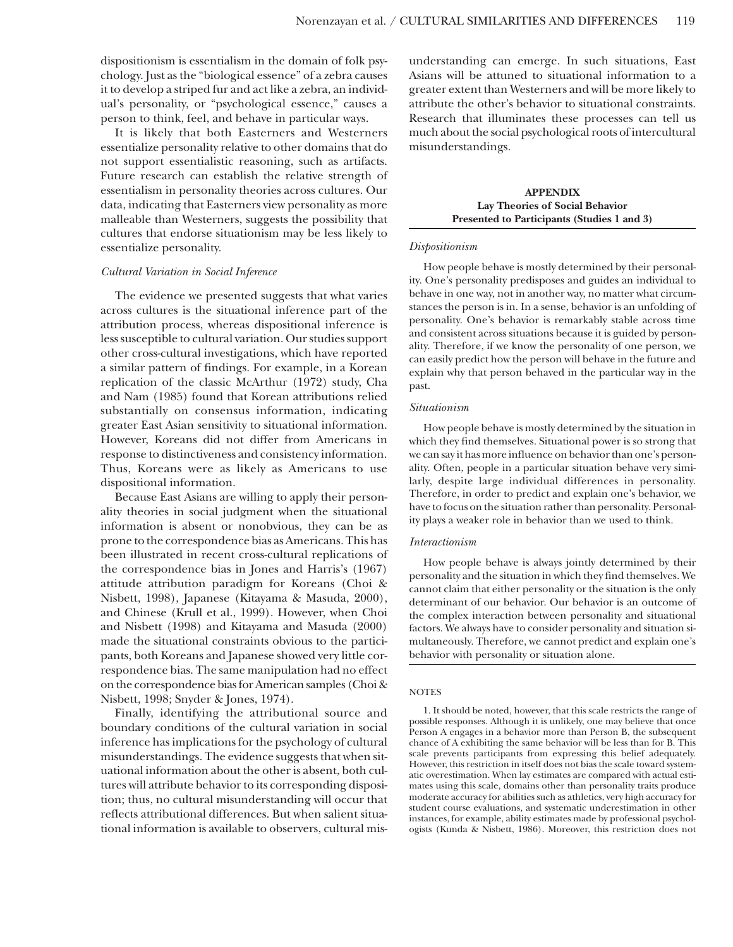dispositionism is essentialism in the domain of folk psychology. Just as the "biological essence" of a zebra causes it to develop a striped fur and act like a zebra, an individual's personality, or "psychological essence," causes a person to think, feel, and behave in particular ways.

It is likely that both Easterners and Westerners essentialize personality relative to other domains that do not support essentialistic reasoning, such as artifacts. Future research can establish the relative strength of essentialism in personality theories across cultures. Our data, indicating that Easterners view personality as more malleable than Westerners, suggests the possibility that cultures that endorse situationism may be less likely to essentialize personality.

## *Cultural Variation in Social Inference*

The evidence we presented suggests that what varies across cultures is the situational inference part of the attribution process, whereas dispositional inference is less susceptible to cultural variation. Our studies support other cross-cultural investigations, which have reported a similar pattern of findings. For example, in a Korean replication of the classic McArthur (1972) study, Cha and Nam (1985) found that Korean attributions relied substantially on consensus information, indicating greater East Asian sensitivity to situational information. However, Koreans did not differ from Americans in response to distinctiveness and consistency information. Thus, Koreans were as likely as Americans to use dispositional information.

Because East Asians are willing to apply their personality theories in social judgment when the situational information is absent or nonobvious, they can be as prone to the correspondence bias as Americans. This has been illustrated in recent cross-cultural replications of the correspondence bias in Jones and Harris's (1967) attitude attribution paradigm for Koreans (Choi & Nisbett, 1998), Japanese (Kitayama & Masuda, 2000), and Chinese (Krull et al., 1999). However, when Choi and Nisbett (1998) and Kitayama and Masuda (2000) made the situational constraints obvious to the participants, both Koreans and Japanese showed very little correspondence bias. The same manipulation had no effect on the correspondence bias for American samples (Choi & Nisbett, 1998; Snyder & Jones, 1974).

Finally, identifying the attributional source and boundary conditions of the cultural variation in social inference has implications for the psychology of cultural misunderstandings. The evidence suggests that when situational information about the other is absent, both cultures will attribute behavior to its corresponding disposition; thus, no cultural misunderstanding will occur that reflects attributional differences. But when salient situational information is available to observers, cultural misunderstanding can emerge. In such situations, East Asians will be attuned to situational information to a greater extent than Westerners and will be more likely to attribute the other's behavior to situational constraints. Research that illuminates these processes can tell us much about the social psychological roots of intercultural misunderstandings.

## **APPENDIX Lay Theories of Social Behavior Presented to Participants (Studies 1 and 3)**

#### *Dispositionism*

How people behave is mostly determined by their personality. One's personality predisposes and guides an individual to behave in one way, not in another way, no matter what circumstances the person is in. In a sense, behavior is an unfolding of personality. One's behavior is remarkably stable across time and consistent across situations because it is guided by personality. Therefore, if we know the personality of one person, we can easily predict how the person will behave in the future and explain why that person behaved in the particular way in the past.

## *Situationism*

How people behave is mostly determined by the situation in which they find themselves. Situational power is so strong that we can say it has more influence on behavior than one's personality. Often, people in a particular situation behave very similarly, despite large individual differences in personality. Therefore, in order to predict and explain one's behavior, we have to focus on the situation rather than personality. Personality plays a weaker role in behavior than we used to think.

#### *Interactionism*

How people behave is always jointly determined by their personality and the situation in which they find themselves. We cannot claim that either personality or the situation is the only determinant of our behavior. Our behavior is an outcome of the complex interaction between personality and situational factors. We always have to consider personality and situation simultaneously. Therefore, we cannot predict and explain one's behavior with personality or situation alone.

## **NOTES**

1. It should be noted, however, that this scale restricts the range of possible responses. Although it is unlikely, one may believe that once Person A engages in a behavior more than Person B, the subsequent chance of A exhibiting the same behavior will be less than for B. This scale prevents participants from expressing this belief adequately. However, this restriction in itself does not bias the scale toward systematic overestimation. When lay estimates are compared with actual estimates using this scale, domains other than personality traits produce moderate accuracy for abilities such as athletics, very high accuracy for student course evaluations, and systematic underestimation in other instances, for example, ability estimates made by professional psychologists (Kunda & Nisbett, 1986). Moreover, this restriction does not